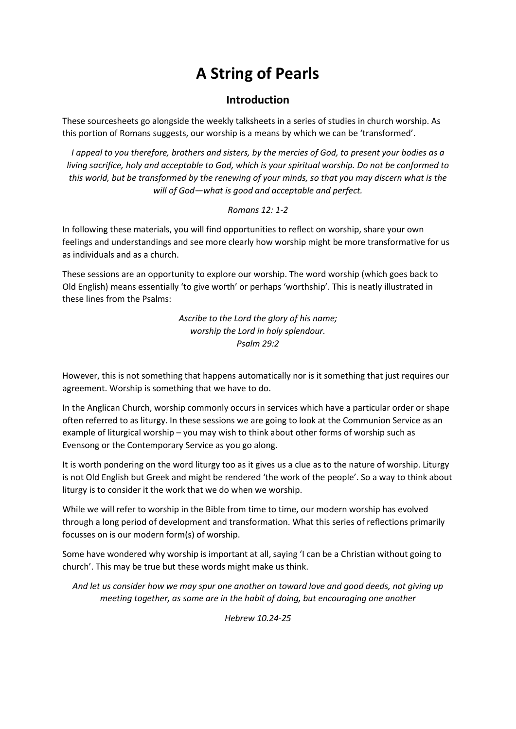## A String of Pearls

## Introduction

These sourcesheets go alongside the weekly talksheets in a series of studies in church worship. As this portion of Romans suggests, our worship is a means by which we can be 'transformed'.

I appeal to you therefore, brothers and sisters, by the mercies of God, to present your bodies as a living sacrifice, holy and acceptable to God, which is your spiritual worship. Do not be conformed to this world, but be transformed by the renewing of your minds, so that you may discern what is the will of God—what is good and acceptable and perfect.

## Romans 12: 1-2

In following these materials, you will find opportunities to reflect on worship, share your own feelings and understandings and see more clearly how worship might be more transformative for us as individuals and as a church.

These sessions are an opportunity to explore our worship. The word worship (which goes back to Old English) means essentially 'to give worth' or perhaps 'worthship'. This is neatly illustrated in these lines from the Psalms:

> Ascribe to the Lord the glory of his name; worship the Lord in holy splendour. Psalm 29:2

However, this is not something that happens automatically nor is it something that just requires our agreement. Worship is something that we have to do.

In the Anglican Church, worship commonly occurs in services which have a particular order or shape often referred to as liturgy. In these sessions we are going to look at the Communion Service as an example of liturgical worship – you may wish to think about other forms of worship such as Evensong or the Contemporary Service as you go along.

It is worth pondering on the word liturgy too as it gives us a clue as to the nature of worship. Liturgy is not Old English but Greek and might be rendered 'the work of the people'. So a way to think about liturgy is to consider it the work that we do when we worship.

While we will refer to worship in the Bible from time to time, our modern worship has evolved through a long period of development and transformation. What this series of reflections primarily focusses on is our modern form(s) of worship.

Some have wondered why worship is important at all, saying 'I can be a Christian without going to church'. This may be true but these words might make us think.

And let us consider how we may spur one another on toward love and good deeds, not giving up meeting together, as some are in the habit of doing, but encouraging one another

Hebrew 10.24-25